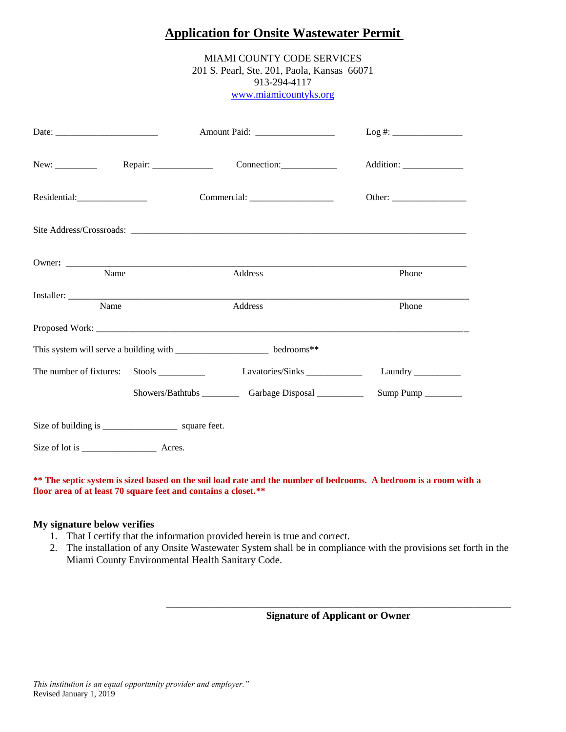# **Application for Onsite Wastewater Permit**

MIAMI COUNTY CODE SERVICES 201 S. Pearl, Ste. 201, Paola, Kansas 66071 913-294-4117 www.miamicountyks.org

|                                                                            |  | Amount Paid: ___________________ |                            |
|----------------------------------------------------------------------------|--|----------------------------------|----------------------------|
|                                                                            |  | Connection:                      | Addition: ________________ |
| Residential:                                                               |  |                                  |                            |
|                                                                            |  |                                  |                            |
| Name                                                                       |  | Address                          | Phone                      |
| Name                                                                       |  | Address                          | Phone                      |
|                                                                            |  |                                  |                            |
| This system will serve a building with ________________________ bedrooms** |  |                                  |                            |
| The number of fixtures:                                                    |  |                                  | Laundry                    |
|                                                                            |  |                                  |                            |
| Size of building is ________________________ square feet.                  |  |                                  |                            |
|                                                                            |  |                                  |                            |

#### **\*\* The septic system is sized based on the soil load rate and the number of bedrooms. A bedroom is a room with a floor area of at least 70 square feet and contains a closet.\*\***

#### **My signature below verifies**

- 1. That I certify that the information provided herein is true and correct.
- 2. The installation of any Onsite Wastewater System shall be in compliance with the provisions set forth in the Miami County Environmental Health Sanitary Code.

 $\overline{\phantom{a}}$  , and the set of the set of the set of the set of the set of the set of the set of the set of the set of the set of the set of the set of the set of the set of the set of the set of the set of the set of the s **Signature of Applicant or Owner**